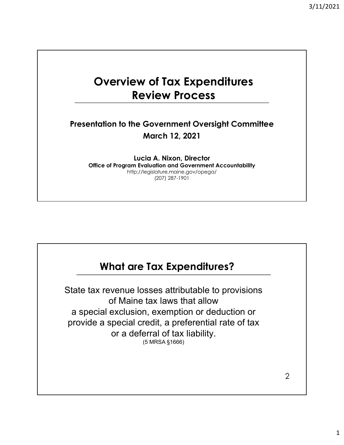## Overview of Tax Expenditures Review Process

#### Presentation to the Government Oversight Committee March 12, 2021

Lucia A. Nixon, Director Office of Program Evaluation and Government Accountability http://legislature.maine.gov/opega/ (207) 287-1901

## What are Tax Expenditures?

State tax revenue losses attributable to provisions of Maine tax laws that allow a special exclusion, exemption or deduction or provide a special credit, a preferential rate of tax or a deferral of tax liability. (5 MRSA §1666)

2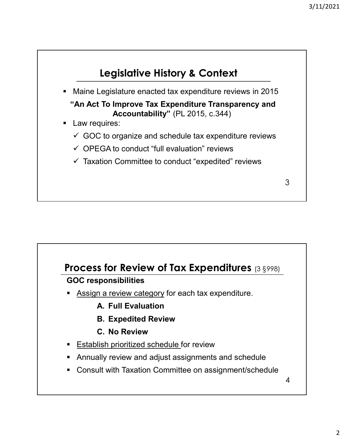

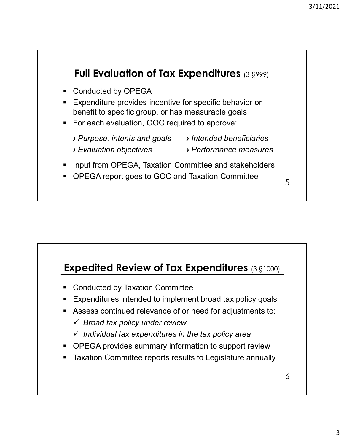# • Conducted by OPEGA Expenditure provides incentive for specific behavior or **Bull Evaluation of Tax Expenditures** (3  $\S$ 999)<br>
Conducted by OPEGA<br>
Expenditure provides incentive for specific behavior or<br>
benefit to specific group, or has measurable goals<br>
For each evaluation, GOC required to appro **For each evaluation, GOC required to approve:** › Purpose, intents and goals › Intended beneficiaries › Evaluation objectives › Performance measures **Input from OPEGA, Taxation Committee and stakeholders** ■ OPEGA report goes to GOC and Taxation Committee 5 Full Evaluation of Tax Expenditures (3 §999) 5

## Expedited Review of Tax Expenditures (3 §1000)

- **EX Conducted by Taxation Committee**
- **Expenditures intended to implement broad tax policy goals**
- Assess continued relevance of or need for adjustments to:
	- $\checkmark$  Broad tax policy under review
	- $\checkmark$  Individual tax expenditures in the tax policy area
- OPEGA provides summary information to support review
- **Taxation Committee reports results to Legislature annually**

6